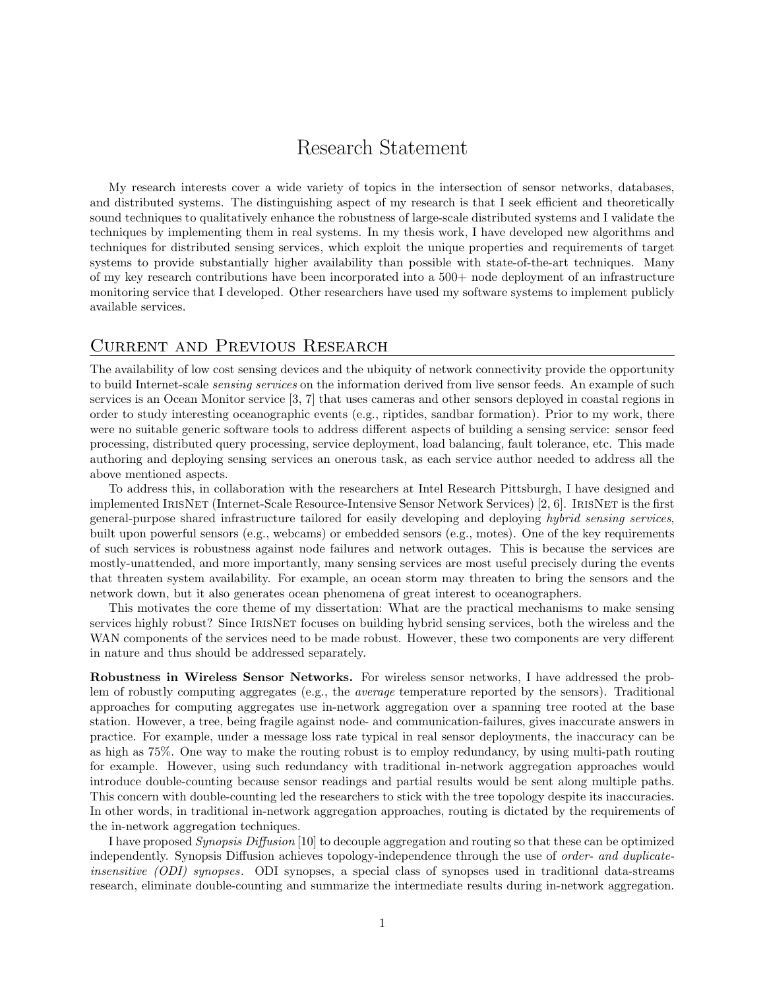## Research Statement

My research interests cover a wide variety of topics in the intersection of sensor networks, databases, and distributed systems. The distinguishing aspect of my research is that I seek efficient and theoretically sound techniques to qualitatively enhance the robustness of large-scale distributed systems and I validate the techniques by implementing them in real systems. In my thesis work, I have developed new algorithms and techniques for distributed sensing services, which exploit the unique properties and requirements of target systems to provide substantially higher availability than possible with state-of-the-art techniques. Many of my key research contributions have been incorporated into a 500+ node deployment of an infrastructure monitoring service that I developed. Other researchers have used my software systems to implement publicly available services.

## Current and Previous Research

The availability of low cost sensing devices and the ubiquity of network connectivity provide the opportunity to build Internet-scale sensing services on the information derived from live sensor feeds. An example of such services is an Ocean Monitor service [3, 7] that uses cameras and other sensors deployed in coastal regions in order to study interesting oceanographic events (e.g., riptides, sandbar formation). Prior to my work, there were no suitable generic software tools to address different aspects of building a sensing service: sensor feed processing, distributed query processing, service deployment, load balancing, fault tolerance, etc. This made authoring and deploying sensing services an onerous task, as each service author needed to address all the above mentioned aspects.

To address this, in collaboration with the researchers at Intel Research Pittsburgh, I have designed and implemented IrisNet (Internet-Scale Resource-Intensive Sensor Network Services) [2, 6]. IrisNet is the first general-purpose shared infrastructure tailored for easily developing and deploying hybrid sensing services, built upon powerful sensors (e.g., webcams) or embedded sensors (e.g., motes). One of the key requirements of such services is robustness against node failures and network outages. This is because the services are mostly-unattended, and more importantly, many sensing services are most useful precisely during the events that threaten system availability. For example, an ocean storm may threaten to bring the sensors and the network down, but it also generates ocean phenomena of great interest to oceanographers.

This motivates the core theme of my dissertation: What are the practical mechanisms to make sensing services highly robust? Since IRISNET focuses on building hybrid sensing services, both the wireless and the WAN components of the services need to be made robust. However, these two components are very different in nature and thus should be addressed separately.

Robustness in Wireless Sensor Networks. For wireless sensor networks, I have addressed the problem of robustly computing aggregates (e.g., the average temperature reported by the sensors). Traditional approaches for computing aggregates use in-network aggregation over a spanning tree rooted at the base station. However, a tree, being fragile against node- and communication-failures, gives inaccurate answers in practice. For example, under a message loss rate typical in real sensor deployments, the inaccuracy can be as high as 75%. One way to make the routing robust is to employ redundancy, by using multi-path routing for example. However, using such redundancy with traditional in-network aggregation approaches would introduce double-counting because sensor readings and partial results would be sent along multiple paths. This concern with double-counting led the researchers to stick with the tree topology despite its inaccuracies. In other words, in traditional in-network aggregation approaches, routing is dictated by the requirements of the in-network aggregation techniques.

I have proposed Synopsis Diffusion [10] to decouple aggregation and routing so that these can be optimized independently. Synopsis Diffusion achieves topology-independence through the use of order- and duplicateinsensitive (ODI) synopses. ODI synopses, a special class of synopses used in traditional data-streams research, eliminate double-counting and summarize the intermediate results during in-network aggregation.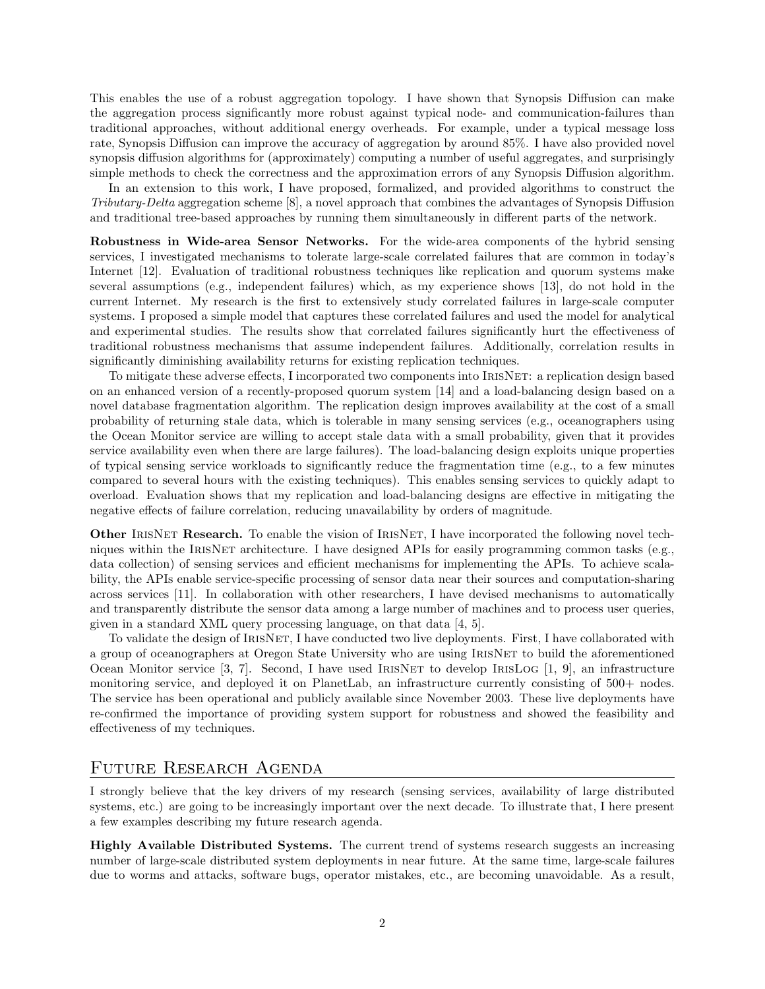This enables the use of a robust aggregation topology. I have shown that Synopsis Diffusion can make the aggregation process significantly more robust against typical node- and communication-failures than traditional approaches, without additional energy overheads. For example, under a typical message loss rate, Synopsis Diffusion can improve the accuracy of aggregation by around 85%. I have also provided novel synopsis diffusion algorithms for (approximately) computing a number of useful aggregates, and surprisingly simple methods to check the correctness and the approximation errors of any Synopsis Diffusion algorithm.

In an extension to this work, I have proposed, formalized, and provided algorithms to construct the Tributary-Delta aggregation scheme [8], a novel approach that combines the advantages of Synopsis Diffusion and traditional tree-based approaches by running them simultaneously in different parts of the network.

Robustness in Wide-area Sensor Networks. For the wide-area components of the hybrid sensing services, I investigated mechanisms to tolerate large-scale correlated failures that are common in today's Internet [12]. Evaluation of traditional robustness techniques like replication and quorum systems make several assumptions (e.g., independent failures) which, as my experience shows [13], do not hold in the current Internet. My research is the first to extensively study correlated failures in large-scale computer systems. I proposed a simple model that captures these correlated failures and used the model for analytical and experimental studies. The results show that correlated failures significantly hurt the effectiveness of traditional robustness mechanisms that assume independent failures. Additionally, correlation results in significantly diminishing availability returns for existing replication techniques.

To mitigate these adverse effects, I incorporated two components into IrisNet: a replication design based on an enhanced version of a recently-proposed quorum system [14] and a load-balancing design based on a novel database fragmentation algorithm. The replication design improves availability at the cost of a small probability of returning stale data, which is tolerable in many sensing services (e.g., oceanographers using the Ocean Monitor service are willing to accept stale data with a small probability, given that it provides service availability even when there are large failures). The load-balancing design exploits unique properties of typical sensing service workloads to significantly reduce the fragmentation time (e.g., to a few minutes compared to several hours with the existing techniques). This enables sensing services to quickly adapt to overload. Evaluation shows that my replication and load-balancing designs are effective in mitigating the negative effects of failure correlation, reducing unavailability by orders of magnitude.

Other IRISNET Research. To enable the vision of IRISNET, I have incorporated the following novel techniques within the IRISNET architecture. I have designed APIs for easily programming common tasks (e.g., data collection) of sensing services and efficient mechanisms for implementing the APIs. To achieve scalability, the APIs enable service-specific processing of sensor data near their sources and computation-sharing across services [11]. In collaboration with other researchers, I have devised mechanisms to automatically and transparently distribute the sensor data among a large number of machines and to process user queries, given in a standard XML query processing language, on that data [4, 5].

To validate the design of IrisNet, I have conducted two live deployments. First, I have collaborated with a group of oceanographers at Oregon State University who are using IRISNET to build the aforementioned Ocean Monitor service [3, 7]. Second, I have used IrisNet to develop IrisLog [1, 9], an infrastructure monitoring service, and deployed it on PlanetLab, an infrastructure currently consisting of 500+ nodes. The service has been operational and publicly available since November 2003. These live deployments have re-confirmed the importance of providing system support for robustness and showed the feasibility and effectiveness of my techniques.

## FUTURE RESEARCH AGENDA

I strongly believe that the key drivers of my research (sensing services, availability of large distributed systems, etc.) are going to be increasingly important over the next decade. To illustrate that, I here present a few examples describing my future research agenda.

Highly Available Distributed Systems. The current trend of systems research suggests an increasing number of large-scale distributed system deployments in near future. At the same time, large-scale failures due to worms and attacks, software bugs, operator mistakes, etc., are becoming unavoidable. As a result,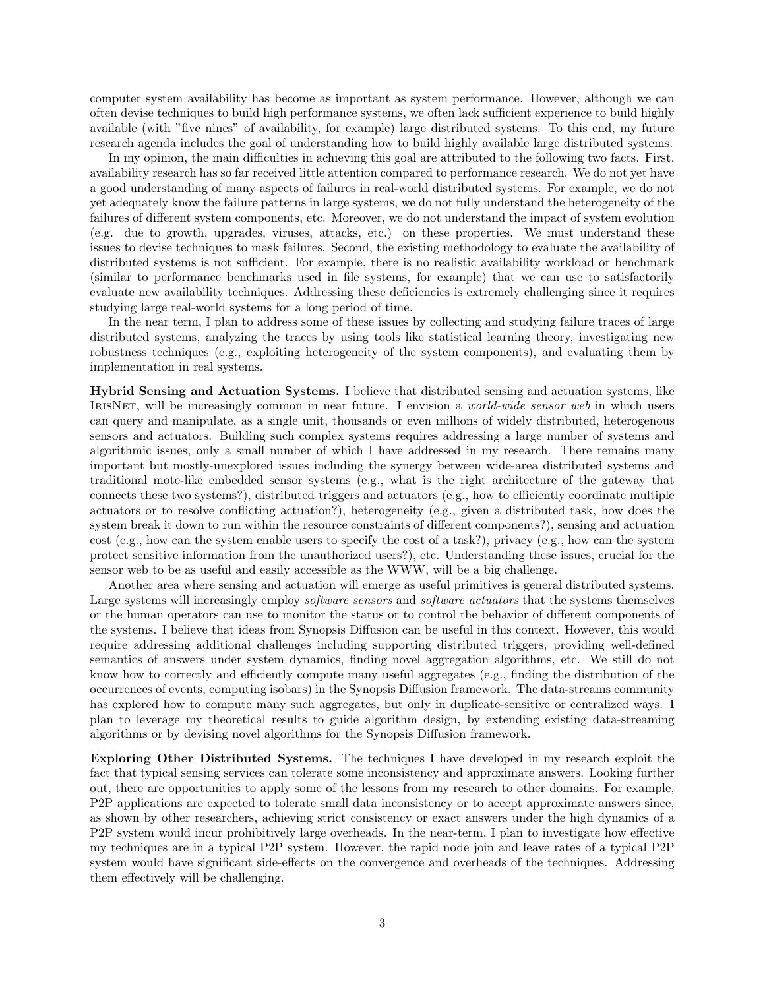computer system availability has become as important as system performance. However, although we can often devise techniques to build high performance systems, we often lack sufficient experience to build highly available (with "five nines" of availability, for example) large distributed systems. To this end, my future research agenda includes the goal of understanding how to build highly available large distributed systems.

In my opinion, the main difficulties in achieving this goal are attributed to the following two facts. First, availability research has so far received little attention compared to performance research. We do not yet have a good understanding of many aspects of failures in real-world distributed systems. For example, we do not yet adequately know the failure patterns in large systems, we do not fully understand the heterogeneity of the failures of different system components, etc. Moreover, we do not understand the impact of system evolution (e.g. due to growth, upgrades, viruses, attacks, etc.) on these properties. We must understand these issues to devise techniques to mask failures. Second, the existing methodology to evaluate the availability of distributed systems is not sufficient. For example, there is no realistic availability workload or benchmark (similar to performance benchmarks used in file systems, for example) that we can use to satisfactorily evaluate new availability techniques. Addressing these deficiencies is extremely challenging since it requires studying large real-world systems for a long period of time.

In the near term, I plan to address some of these issues by collecting and studying failure traces of large distributed systems, analyzing the traces by using tools like statistical learning theory, investigating new robustness techniques (e.g., exploiting heterogeneity of the system components), and evaluating them by implementation in real systems.

Hybrid Sensing and Actuation Systems. I believe that distributed sensing and actuation systems, like IRISNET, will be increasingly common in near future. I envision a *world-wide sensor web* in which users can query and manipulate, as a single unit, thousands or even millions of widely distributed, heterogenous sensors and actuators. Building such complex systems requires addressing a large number of systems and algorithmic issues, only a small number of which I have addressed in my research. There remains many important but mostly-unexplored issues including the synergy between wide-area distributed systems and traditional mote-like embedded sensor systems (e.g., what is the right architecture of the gateway that connects these two systems?), distributed triggers and actuators (e.g., how to efficiently coordinate multiple actuators or to resolve conflicting actuation?), heterogeneity (e.g., given a distributed task, how does the system break it down to run within the resource constraints of different components?), sensing and actuation cost (e.g., how can the system enable users to specify the cost of a task?), privacy (e.g., how can the system protect sensitive information from the unauthorized users?), etc. Understanding these issues, crucial for the sensor web to be as useful and easily accessible as the WWW, will be a big challenge.

Another area where sensing and actuation will emerge as useful primitives is general distributed systems. Large systems will increasingly employ *software sensors* and *software actuators* that the systems themselves or the human operators can use to monitor the status or to control the behavior of different components of the systems. I believe that ideas from Synopsis Diffusion can be useful in this context. However, this would require addressing additional challenges including supporting distributed triggers, providing well-defined semantics of answers under system dynamics, finding novel aggregation algorithms, etc. We still do not know how to correctly and efficiently compute many useful aggregates (e.g., finding the distribution of the occurrences of events, computing isobars) in the Synopsis Diffusion framework. The data-streams community has explored how to compute many such aggregates, but only in duplicate-sensitive or centralized ways. I plan to leverage my theoretical results to guide algorithm design, by extending existing data-streaming algorithms or by devising novel algorithms for the Synopsis Diffusion framework.

Exploring Other Distributed Systems. The techniques I have developed in my research exploit the fact that typical sensing services can tolerate some inconsistency and approximate answers. Looking further out, there are opportunities to apply some of the lessons from my research to other domains. For example, P2P applications are expected to tolerate small data inconsistency or to accept approximate answers since, as shown by other researchers, achieving strict consistency or exact answers under the high dynamics of a P2P system would incur prohibitively large overheads. In the near-term, I plan to investigate how effective my techniques are in a typical P2P system. However, the rapid node join and leave rates of a typical P2P system would have significant side-effects on the convergence and overheads of the techniques. Addressing them effectively will be challenging.